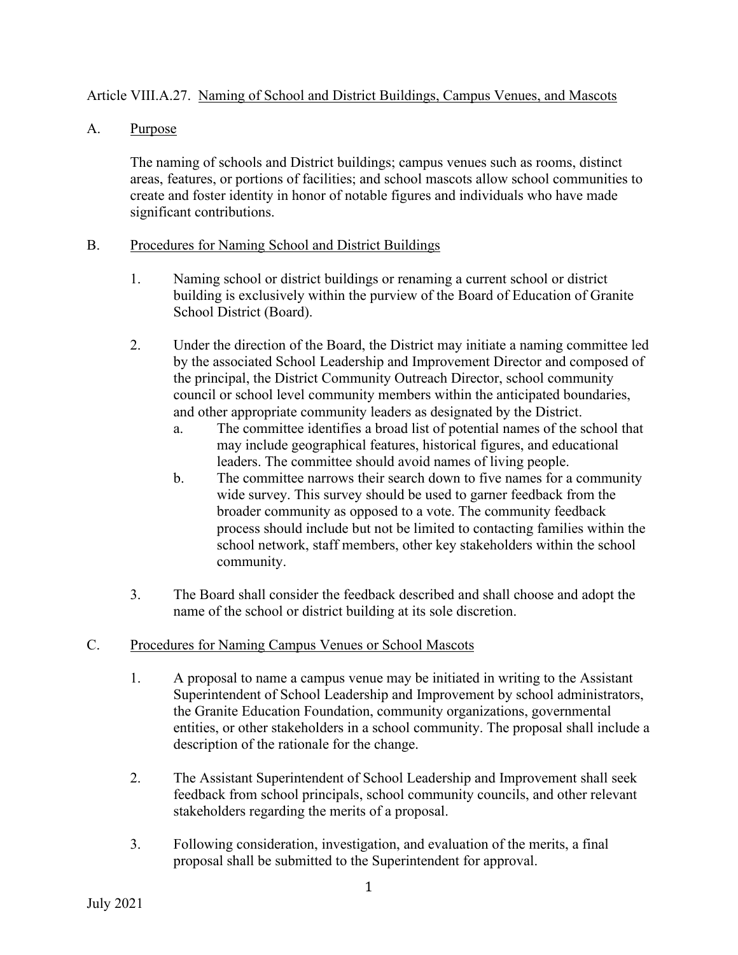## Article VIII.A.27. Naming of School and District Buildings, Campus Venues, and Mascots

A. Purpose

The naming of schools and District buildings; campus venues such as rooms, distinct areas, features, or portions of facilities; and school mascots allow school communities to create and foster identity in honor of notable figures and individuals who have made significant contributions.

## B. Procedures for Naming School and District Buildings

- 1. Naming school or district buildings or renaming a current school or district building is exclusively within the purview of the Board of Education of Granite School District (Board).
- 2. Under the direction of the Board, the District may initiate a naming committee led by the associated School Leadership and Improvement Director and composed of the principal, the District Community Outreach Director, school community council or school level community members within the anticipated boundaries, and other appropriate community leaders as designated by the District.
	- a. The committee identifies a broad list of potential names of the school that may include geographical features, historical figures, and educational leaders. The committee should avoid names of living people.
	- b. The committee narrows their search down to five names for a community wide survey. This survey should be used to garner feedback from the broader community as opposed to a vote. The community feedback process should include but not be limited to contacting families within the school network, staff members, other key stakeholders within the school community.
- 3. The Board shall consider the feedback described and shall choose and adopt the name of the school or district building at its sole discretion.

## C. Procedures for Naming Campus Venues or School Mascots

- 1. A proposal to name a campus venue may be initiated in writing to the Assistant Superintendent of School Leadership and Improvement by school administrators, the Granite Education Foundation, community organizations, governmental entities, or other stakeholders in a school community. The proposal shall include a description of the rationale for the change.
- 2. The Assistant Superintendent of School Leadership and Improvement shall seek feedback from school principals, school community councils, and other relevant stakeholders regarding the merits of a proposal.
- 3. Following consideration, investigation, and evaluation of the merits, a final proposal shall be submitted to the Superintendent for approval.